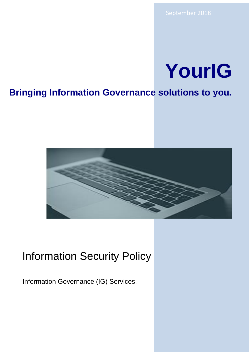# **YourIG**

## **Bringing Information Governance solutions to you.**



# Information Security Policy

Information Governance (IG) Services.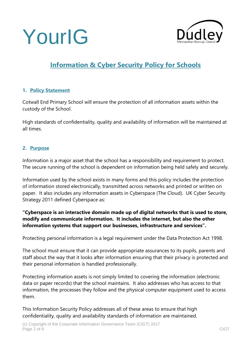



### **Information & Cyber Security Policy for Schools**

#### **1. Policy Statement**

Cotwall End Primary School will ensure the protection of all information assets within the custody of the School.

High standards of confidentiality, quality and availability of information will be maintained at all times.

#### **2. Purpose**

Information is a major asset that the school has a responsibility and requirement to protect. The secure running of the school is dependent on information being held safely and securely.

Information used by the school exists in many forms and this policy includes the protection of information stored electronically, transmitted across networks and printed or written on paper. It also includes any information assets in Cyberspace (The Cloud). UK Cyber Security Strategy 2011 defined Cyberspace as:

#### **"Cyberspace is an interactive domain made up of digital networks that is used to store, modify and communicate information. It includes the internet, but also the other information systems that support our businesses, infrastructure and services".**

Protecting personal information is a legal requirement under the Data Protection Act 1998.

The school must ensure that it can provide appropriate assurances to its pupils, parents and staff about the way that it looks after information ensuring that their privacy is protected and their personal information is handled professionally.

Protecting information assets is not simply limited to covering the information (electronic data or paper records) that the school maintains. It also addresses who has access to that information, the processes they follow and the physical computer equipment used to access them.

This Information Security Policy addresses all of these areas to ensure that high confidentiality, quality and availability standards of information are maintained.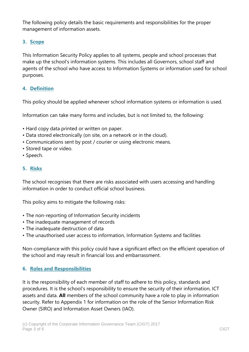The following policy details the basic requirements and responsibilities for the proper management of information assets.

#### **3. Scope**

This Information Security Policy applies to all systems, people and school processes that make up the school's information systems. This includes all Governors, school staff and agents of the school who have access to Information Systems or information used for school purposes.

#### **4. Definition**

This policy should be applied whenever school information systems or information is used.

Information can take many forms and includes, but is not limited to, the following:

- Hard copy data printed or written on paper.
- Data stored electronically (on site, on a network or in the cloud).
- Communications sent by post / courier or using electronic means.
- Stored tape or video.
- Speech.

#### **5. Risks**

The school recognises that there are risks associated with users accessing and handling information in order to conduct official school business.

This policy aims to mitigate the following risks:

- The non-reporting of Information Security incidents
- The inadequate management of records
- The inadequate destruction of data
- The unauthorised user access to information, Information Systems and facilities

Non-compliance with this policy could have a significant effect on the efficient operation of the school and may result in financial loss and embarrassment.

#### **6. Roles and Responsibilities**

It is the responsibility of each member of staff to adhere to this policy, standards and procedures. It is the school's responsibility to ensure the security of their information, ICT assets and data. **All** members of the school community have a role to play in information security. Refer to Appendix 1 for information on the role of the Senior Information Risk Owner (SIRO) and Information Asset Owners (IAO).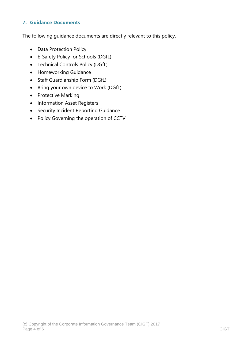#### **7. Guidance Documents**

The following guidance documents are directly relevant to this policy.

- Data Protection Policy
- E-Safety Policy for Schools (DGfL)
- Technical Controls Policy (DGfL)
- Homeworking Guidance
- Staff Guardianship Form (DGfL)
- Bring your own device to Work (DGfL)
- Protective Marking
- Information Asset Registers
- Security Incident Reporting Guidance
- Policy Governing the operation of CCTV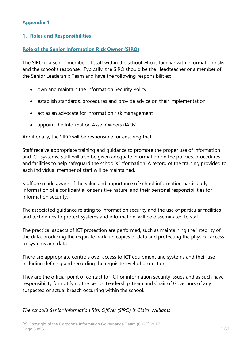#### **Appendix 1**

#### **1. Roles and Responsibilities**

#### **Role of the Senior Information Risk Owner (SIRO)**

The SIRO is a senior member of staff within the school who is familiar with information risks and the school's response. Typically, the SIRO should be the Headteacher or a member of the Senior Leadership Team and have the following responsibilities:

- own and maintain the Information Security Policy
- establish standards, procedures and provide advice on their implementation
- act as an advocate for information risk management
- appoint the Information Asset Owners (IAOs)

Additionally, the SIRO will be responsible for ensuring that:

Staff receive appropriate training and guidance to promote the proper use of information and ICT systems. Staff will also be given adequate information on the policies, procedures and facilities to help safeguard the school's information. A record of the training provided to each individual member of staff will be maintained.

Staff are made aware of the value and importance of school information particularly information of a confidential or sensitive nature, and their personal responsibilities for information security.

The associated guidance relating to information security and the use of particular facilities and techniques to protect systems and information, will be disseminated to staff.

The practical aspects of ICT protection are performed, such as maintaining the integrity of the data, producing the requisite back-up copies of data and protecting the physical access to systems and data.

There are appropriate controls over access to ICT equipment and systems and their use including defining and recording the requisite level of protection.

They are the official point of contact for ICT or information security issues and as such have responsibility for notifying the Senior Leadership Team and Chair of Governors of any suspected or actual breach occurring within the school.

#### *The school's Senior Information Risk Officer (SIRO) is Claire Williams*